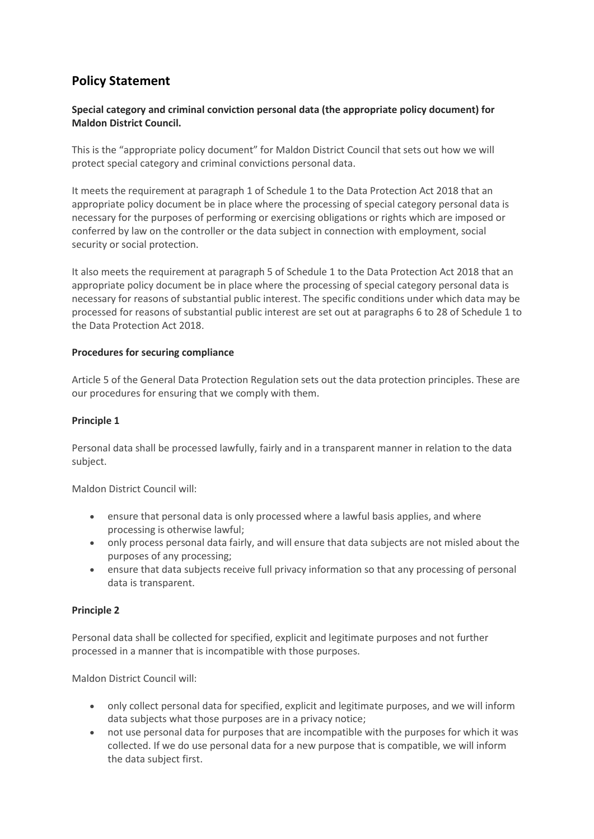# **Policy Statement**

# **Special category and criminal conviction personal data (the appropriate policy document) for Maldon District Council.**

This is the "appropriate policy document" for Maldon District Council that sets out how we will protect special category and criminal convictions personal data.

It meets the requirement at paragraph 1 of Schedule 1 to the Data Protection Act 2018 that an appropriate policy document be in place where the processing of special category personal data is necessary for the purposes of performing or exercising obligations or rights which are imposed or conferred by law on the controller or the data subject in connection with employment, social security or social protection.

It also meets the requirement at paragraph 5 of Schedule 1 to the Data Protection Act 2018 that an appropriate policy document be in place where the processing of special category personal data is necessary for reasons of substantial public interest. The specific conditions under which data may be processed for reasons of substantial public interest are set out at paragraphs 6 to 28 of Schedule 1 to the Data Protection Act 2018.

## **Procedures for securing compliance**

Article 5 of the General Data Protection Regulation sets out the data protection principles. These are our procedures for ensuring that we comply with them.

## **Principle 1**

Personal data shall be processed lawfully, fairly and in a transparent manner in relation to the data subject.

Maldon District Council will:

- ensure that personal data is only processed where a lawful basis applies, and where processing is otherwise lawful;
- only process personal data fairly, and will ensure that data subjects are not misled about the purposes of any processing;
- ensure that data subjects receive full privacy information so that any processing of personal data is transparent.

## **Principle 2**

Personal data shall be collected for specified, explicit and legitimate purposes and not further processed in a manner that is incompatible with those purposes.

Maldon District Council will:

- only collect personal data for specified, explicit and legitimate purposes, and we will inform data subjects what those purposes are in a privacy notice;
- not use personal data for purposes that are incompatible with the purposes for which it was collected. If we do use personal data for a new purpose that is compatible, we will inform the data subject first.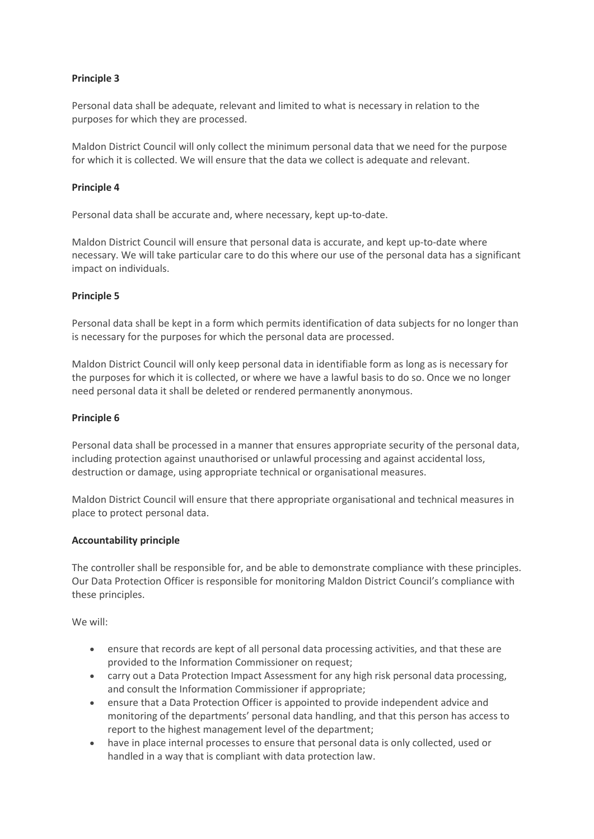# **Principle 3**

Personal data shall be adequate, relevant and limited to what is necessary in relation to the purposes for which they are processed.

Maldon District Council will only collect the minimum personal data that we need for the purpose for which it is collected. We will ensure that the data we collect is adequate and relevant.

## **Principle 4**

Personal data shall be accurate and, where necessary, kept up-to-date.

Maldon District Council will ensure that personal data is accurate, and kept up-to-date where necessary. We will take particular care to do this where our use of the personal data has a significant impact on individuals.

#### **Principle 5**

Personal data shall be kept in a form which permits identification of data subjects for no longer than is necessary for the purposes for which the personal data are processed.

Maldon District Council will only keep personal data in identifiable form as long as is necessary for the purposes for which it is collected, or where we have a lawful basis to do so. Once we no longer need personal data it shall be deleted or rendered permanently anonymous.

#### **Principle 6**

Personal data shall be processed in a manner that ensures appropriate security of the personal data, including protection against unauthorised or unlawful processing and against accidental loss, destruction or damage, using appropriate technical or organisational measures.

Maldon District Council will ensure that there appropriate organisational and technical measures in place to protect personal data.

## **Accountability principle**

The controller shall be responsible for, and be able to demonstrate compliance with these principles. Our Data Protection Officer is responsible for monitoring Maldon District Council's compliance with these principles.

We will:

- ensure that records are kept of all personal data processing activities, and that these are provided to the Information Commissioner on request;
- carry out a Data Protection Impact Assessment for any high risk personal data processing, and consult the Information Commissioner if appropriate;
- ensure that a Data Protection Officer is appointed to provide independent advice and monitoring of the departments' personal data handling, and that this person has access to report to the highest management level of the department;
- have in place internal processes to ensure that personal data is only collected, used or handled in a way that is compliant with data protection law.